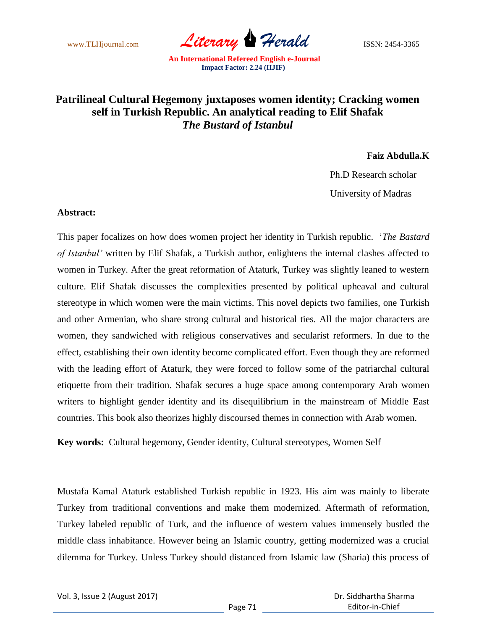www.TLHjournal.com *Literary* Herald **ISSN: 2454-3365** 

## **Patrilineal Cultural Hegemony juxtaposes women identity; Cracking women self in Turkish Republic. An analytical reading to Elif Shafak**  *The Bustard of Istanbul*

**Faiz Abdulla.K**

Ph.D Research scholar

University of Madras

## **Abstract:**

This paper focalizes on how does women project her identity in Turkish republic. "*The Bastard of Istanbul'* written by Elif Shafak, a Turkish author, enlightens the internal clashes affected to women in Turkey. After the great reformation of Ataturk, Turkey was slightly leaned to western culture. Elif Shafak discusses the complexities presented by political upheaval and cultural stereotype in which women were the main victims. This novel depicts two families, one Turkish and other Armenian, who share strong cultural and historical ties. All the major characters are women, they sandwiched with religious conservatives and secularist reformers. In due to the effect, establishing their own identity become complicated effort. Even though they are reformed with the leading effort of Ataturk, they were forced to follow some of the patriarchal cultural etiquette from their tradition. Shafak secures a huge space among contemporary Arab women writers to highlight gender identity and its disequilibrium in the mainstream of Middle East countries. This book also theorizes highly discoursed themes in connection with Arab women.

**Key words:** Cultural hegemony, Gender identity, Cultural stereotypes, Women Self

Mustafa Kamal Ataturk established Turkish republic in 1923. His aim was mainly to liberate Turkey from traditional conventions and make them modernized. Aftermath of reformation, Turkey labeled republic of Turk, and the influence of western values immensely bustled the middle class inhabitance. However being an Islamic country, getting modernized was a crucial dilemma for Turkey. Unless Turkey should distanced from Islamic law (Sharia) this process of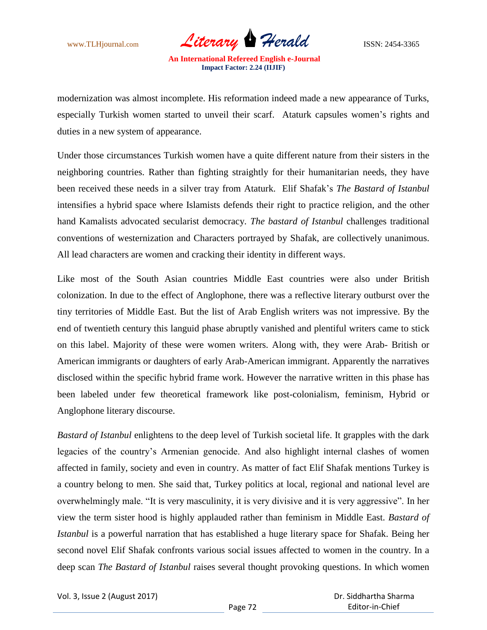www.TLHjournal.com *Literary Herald*ISSN: 2454-3365

modernization was almost incomplete. His reformation indeed made a new appearance of Turks, especially Turkish women started to unveil their scarf. Ataturk capsules women"s rights and duties in a new system of appearance.

Under those circumstances Turkish women have a quite different nature from their sisters in the neighboring countries. Rather than fighting straightly for their humanitarian needs, they have been received these needs in a silver tray from Ataturk. Elif Shafak"s *The Bastard of Istanbul* intensifies a hybrid space where Islamists defends their right to practice religion, and the other hand Kamalists advocated secularist democracy. *The bastard of Istanbul* challenges traditional conventions of westernization and Characters portrayed by Shafak, are collectively unanimous. All lead characters are women and cracking their identity in different ways.

Like most of the South Asian countries Middle East countries were also under British colonization. In due to the effect of Anglophone, there was a reflective literary outburst over the tiny territories of Middle East. But the list of Arab English writers was not impressive. By the end of twentieth century this languid phase abruptly vanished and plentiful writers came to stick on this label. Majority of these were women writers. Along with, they were Arab- British or American immigrants or daughters of early Arab-American immigrant. Apparently the narratives disclosed within the specific hybrid frame work. However the narrative written in this phase has been labeled under few theoretical framework like post-colonialism, feminism, Hybrid or Anglophone literary discourse.

*Bastard of Istanbul* enlightens to the deep level of Turkish societal life. It grapples with the dark legacies of the country's Armenian genocide. And also highlight internal clashes of women affected in family, society and even in country. As matter of fact Elif Shafak mentions Turkey is a country belong to men. She said that, Turkey politics at local, regional and national level are overwhelmingly male. "It is very masculinity, it is very divisive and it is very aggressive". In her view the term sister hood is highly applauded rather than feminism in Middle East. *Bastard of Istanbul* is a powerful narration that has established a huge literary space for Shafak. Being her second novel Elif Shafak confronts various social issues affected to women in the country. In a deep scan *The Bastard of Istanbul* raises several thought provoking questions. In which women

Vol. 3, Issue 2 (August 2017)

 Dr. Siddhartha Sharma Editor-in-Chief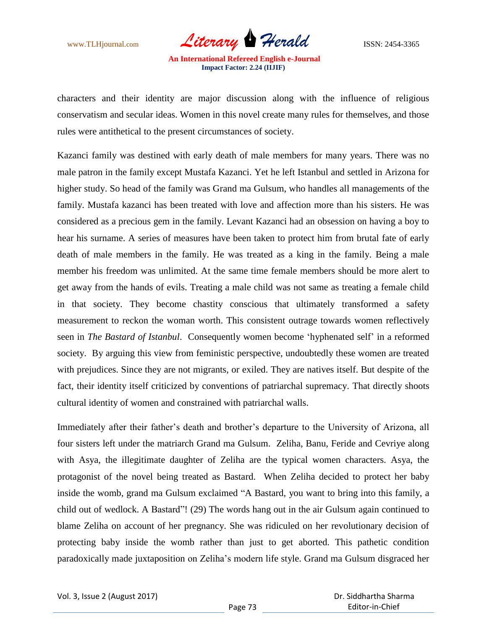www.TLHjournal.com *Literary Herald*ISSN: 2454-3365

characters and their identity are major discussion along with the influence of religious conservatism and secular ideas. Women in this novel create many rules for themselves, and those rules were antithetical to the present circumstances of society.

Kazanci family was destined with early death of male members for many years. There was no male patron in the family except Mustafa Kazanci. Yet he left Istanbul and settled in Arizona for higher study. So head of the family was Grand ma Gulsum, who handles all managements of the family. Mustafa kazanci has been treated with love and affection more than his sisters. He was considered as a precious gem in the family. Levant Kazanci had an obsession on having a boy to hear his surname. A series of measures have been taken to protect him from brutal fate of early death of male members in the family. He was treated as a king in the family. Being a male member his freedom was unlimited. At the same time female members should be more alert to get away from the hands of evils. Treating a male child was not same as treating a female child in that society. They become chastity conscious that ultimately transformed a safety measurement to reckon the woman worth. This consistent outrage towards women reflectively seen in *The Bastard of Istanbul*. Consequently women become "hyphenated self" in a reformed society. By arguing this view from feministic perspective, undoubtedly these women are treated with prejudices. Since they are not migrants, or exiled. They are natives itself. But despite of the fact, their identity itself criticized by conventions of patriarchal supremacy. That directly shoots cultural identity of women and constrained with patriarchal walls.

Immediately after their father's death and brother's departure to the University of Arizona, all four sisters left under the matriarch Grand ma Gulsum. Zeliha, Banu, Feride and Cevriye along with Asya, the illegitimate daughter of Zeliha are the typical women characters. Asya, the protagonist of the novel being treated as Bastard. When Zeliha decided to protect her baby inside the womb, grand ma Gulsum exclaimed "A Bastard, you want to bring into this family, a child out of wedlock. A Bastard"! (29) The words hang out in the air Gulsum again continued to blame Zeliha on account of her pregnancy. She was ridiculed on her revolutionary decision of protecting baby inside the womb rather than just to get aborted. This pathetic condition paradoxically made juxtaposition on Zeliha"s modern life style. Grand ma Gulsum disgraced her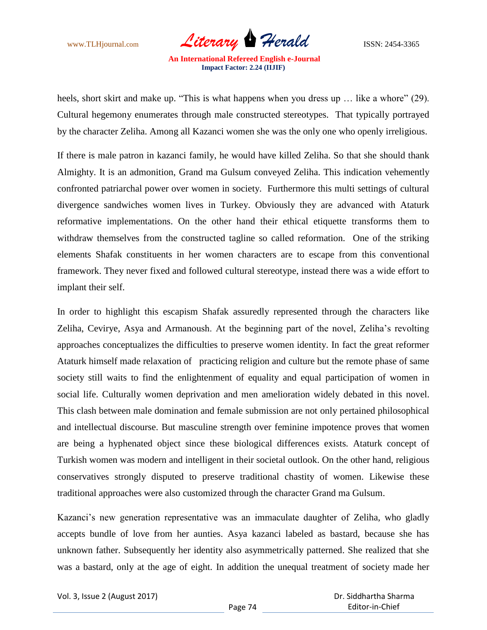www.TLHjournal.com *Literary Herald*ISSN: 2454-3365

heels, short skirt and make up. "This is what happens when you dress up ... like a whore" (29). Cultural hegemony enumerates through male constructed stereotypes. That typically portrayed by the character Zeliha. Among all Kazanci women she was the only one who openly irreligious.

If there is male patron in kazanci family, he would have killed Zeliha. So that she should thank Almighty. It is an admonition, Grand ma Gulsum conveyed Zeliha. This indication vehemently confronted patriarchal power over women in society. Furthermore this multi settings of cultural divergence sandwiches women lives in Turkey. Obviously they are advanced with Ataturk reformative implementations. On the other hand their ethical etiquette transforms them to withdraw themselves from the constructed tagline so called reformation. One of the striking elements Shafak constituents in her women characters are to escape from this conventional framework. They never fixed and followed cultural stereotype, instead there was a wide effort to implant their self.

In order to highlight this escapism Shafak assuredly represented through the characters like Zeliha, Cevirye, Asya and Armanoush. At the beginning part of the novel, Zeliha's revolting approaches conceptualizes the difficulties to preserve women identity. In fact the great reformer Ataturk himself made relaxation of practicing religion and culture but the remote phase of same society still waits to find the enlightenment of equality and equal participation of women in social life. Culturally women deprivation and men amelioration widely debated in this novel. This clash between male domination and female submission are not only pertained philosophical and intellectual discourse. But masculine strength over feminine impotence proves that women are being a hyphenated object since these biological differences exists. Ataturk concept of Turkish women was modern and intelligent in their societal outlook. On the other hand, religious conservatives strongly disputed to preserve traditional chastity of women. Likewise these traditional approaches were also customized through the character Grand ma Gulsum.

Kazanci's new generation representative was an immaculate daughter of Zeliha, who gladly accepts bundle of love from her aunties. Asya kazanci labeled as bastard, because she has unknown father. Subsequently her identity also asymmetrically patterned. She realized that she was a bastard, only at the age of eight. In addition the unequal treatment of society made her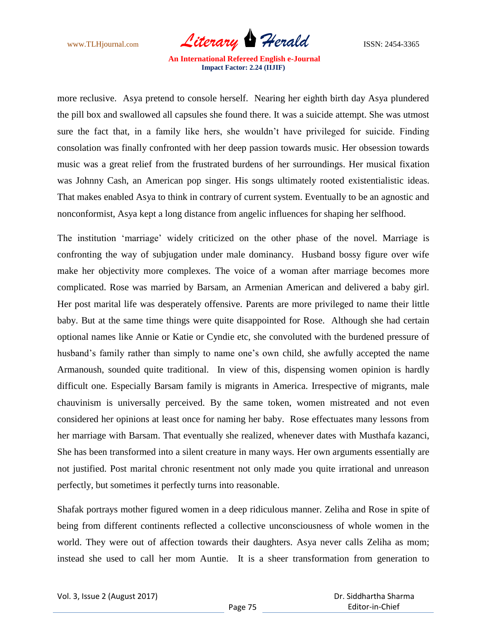www.TLHjournal.com *Literary Herald* ISSN: 2454-3365

more reclusive. Asya pretend to console herself. Nearing her eighth birth day Asya plundered the pill box and swallowed all capsules she found there. It was a suicide attempt. She was utmost sure the fact that, in a family like hers, she wouldn"t have privileged for suicide. Finding consolation was finally confronted with her deep passion towards music. Her obsession towards music was a great relief from the frustrated burdens of her surroundings. Her musical fixation was Johnny Cash, an American pop singer. His songs ultimately rooted existentialistic ideas. That makes enabled Asya to think in contrary of current system. Eventually to be an agnostic and nonconformist, Asya kept a long distance from angelic influences for shaping her selfhood.

The institution "marriage" widely criticized on the other phase of the novel. Marriage is confronting the way of subjugation under male dominancy. Husband bossy figure over wife make her objectivity more complexes. The voice of a woman after marriage becomes more complicated. Rose was married by Barsam, an Armenian American and delivered a baby girl. Her post marital life was desperately offensive. Parents are more privileged to name their little baby. But at the same time things were quite disappointed for Rose. Although she had certain optional names like Annie or Katie or Cyndie etc, she convoluted with the burdened pressure of husband's family rather than simply to name one's own child, she awfully accepted the name Armanoush, sounded quite traditional. In view of this, dispensing women opinion is hardly difficult one. Especially Barsam family is migrants in America. Irrespective of migrants, male chauvinism is universally perceived. By the same token, women mistreated and not even considered her opinions at least once for naming her baby. Rose effectuates many lessons from her marriage with Barsam. That eventually she realized, whenever dates with Musthafa kazanci, She has been transformed into a silent creature in many ways. Her own arguments essentially are not justified. Post marital chronic resentment not only made you quite irrational and unreason perfectly, but sometimes it perfectly turns into reasonable.

Shafak portrays mother figured women in a deep ridiculous manner. Zeliha and Rose in spite of being from different continents reflected a collective unconsciousness of whole women in the world. They were out of affection towards their daughters. Asya never calls Zeliha as mom; instead she used to call her mom Auntie. It is a sheer transformation from generation to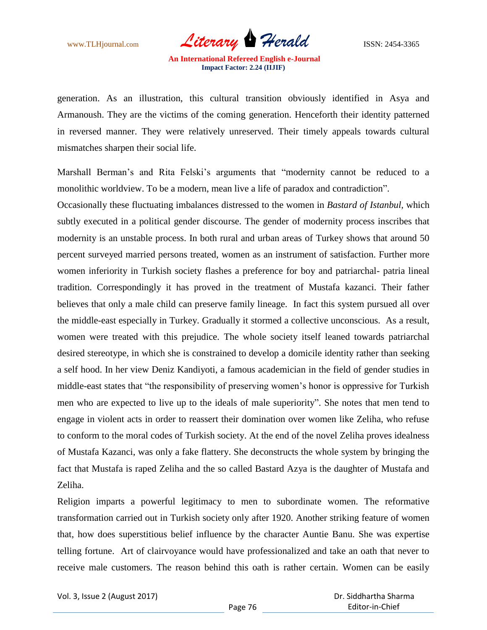www.TLHjournal.com *Literary Herald* ISSN: 2454-3365

generation. As an illustration, this cultural transition obviously identified in Asya and Armanoush. They are the victims of the coming generation. Henceforth their identity patterned in reversed manner. They were relatively unreserved. Their timely appeals towards cultural mismatches sharpen their social life.

Marshall Berman's and Rita Felski's arguments that "modernity cannot be reduced to a monolithic worldview. To be a modern, mean live a life of paradox and contradiction".

Occasionally these fluctuating imbalances distressed to the women in *Bastard of Istanbul,* which subtly executed in a political gender discourse. The gender of modernity process inscribes that modernity is an unstable process. In both rural and urban areas of Turkey shows that around 50 percent surveyed married persons treated, women as an instrument of satisfaction. Further more women inferiority in Turkish society flashes a preference for boy and patriarchal- patria lineal tradition. Correspondingly it has proved in the treatment of Mustafa kazanci. Their father believes that only a male child can preserve family lineage. In fact this system pursued all over the middle-east especially in Turkey. Gradually it stormed a collective unconscious. As a result, women were treated with this prejudice. The whole society itself leaned towards patriarchal desired stereotype, in which she is constrained to develop a domicile identity rather than seeking a self hood. In her view Deniz Kandiyoti, a famous academician in the field of gender studies in middle-east states that "the responsibility of preserving women"s honor is oppressive for Turkish men who are expected to live up to the ideals of male superiority". She notes that men tend to engage in violent acts in order to reassert their domination over women like Zeliha, who refuse to conform to the moral codes of Turkish society. At the end of the novel Zeliha proves idealness of Mustafa Kazanci, was only a fake flattery. She deconstructs the whole system by bringing the fact that Mustafa is raped Zeliha and the so called Bastard Azya is the daughter of Mustafa and Zeliha.

Religion imparts a powerful legitimacy to men to subordinate women. The reformative transformation carried out in Turkish society only after 1920. Another striking feature of women that, how does superstitious belief influence by the character Auntie Banu. She was expertise telling fortune. Art of clairvoyance would have professionalized and take an oath that never to receive male customers. The reason behind this oath is rather certain. Women can be easily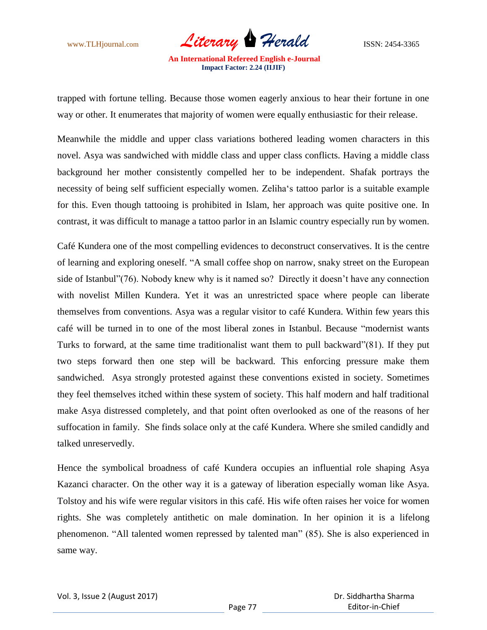www.TLHjournal.com *Literary Herald* ISSN: 2454-3365

trapped with fortune telling. Because those women eagerly anxious to hear their fortune in one way or other. It enumerates that majority of women were equally enthusiastic for their release.

Meanwhile the middle and upper class variations bothered leading women characters in this novel. Asya was sandwiched with middle class and upper class conflicts. Having a middle class background her mother consistently compelled her to be independent. Shafak portrays the necessity of being self sufficient especially women. Zeliha"s tattoo parlor is a suitable example for this. Even though tattooing is prohibited in Islam, her approach was quite positive one. In contrast, it was difficult to manage a tattoo parlor in an Islamic country especially run by women.

Café Kundera one of the most compelling evidences to deconstruct conservatives. It is the centre of learning and exploring oneself. "A small coffee shop on narrow, snaky street on the European side of Istanbul"(76). Nobody knew why is it named so? Directly it doesn"t have any connection with novelist Millen Kundera. Yet it was an unrestricted space where people can liberate themselves from conventions. Asya was a regular visitor to café Kundera. Within few years this café will be turned in to one of the most liberal zones in Istanbul. Because "modernist wants Turks to forward, at the same time traditionalist want them to pull backward"(81). If they put two steps forward then one step will be backward. This enforcing pressure make them sandwiched. Asya strongly protested against these conventions existed in society. Sometimes they feel themselves itched within these system of society. This half modern and half traditional make Asya distressed completely, and that point often overlooked as one of the reasons of her suffocation in family. She finds solace only at the café Kundera. Where she smiled candidly and talked unreservedly.

Hence the symbolical broadness of café Kundera occupies an influential role shaping Asya Kazanci character. On the other way it is a gateway of liberation especially woman like Asya. Tolstoy and his wife were regular visitors in this café. His wife often raises her voice for women rights. She was completely antithetic on male domination. In her opinion it is a lifelong phenomenon. "All talented women repressed by talented man" (85). She is also experienced in same way.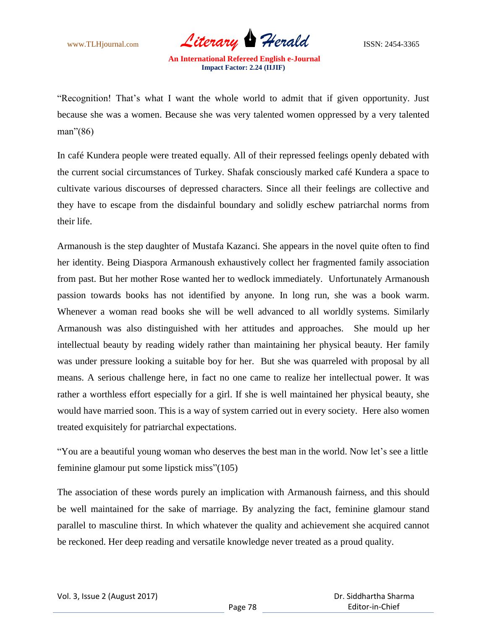www.TLHjournal.com *Literary Herald* ISSN: 2454-3365

"Recognition! That's what I want the whole world to admit that if given opportunity. Just because she was a women. Because she was very talented women oppressed by a very talented man"(86)

In café Kundera people were treated equally. All of their repressed feelings openly debated with the current social circumstances of Turkey. Shafak consciously marked café Kundera a space to cultivate various discourses of depressed characters. Since all their feelings are collective and they have to escape from the disdainful boundary and solidly eschew patriarchal norms from their life.

Armanoush is the step daughter of Mustafa Kazanci. She appears in the novel quite often to find her identity. Being Diaspora Armanoush exhaustively collect her fragmented family association from past. But her mother Rose wanted her to wedlock immediately. Unfortunately Armanoush passion towards books has not identified by anyone. In long run, she was a book warm. Whenever a woman read books she will be well advanced to all worldly systems. Similarly Armanoush was also distinguished with her attitudes and approaches. She mould up her intellectual beauty by reading widely rather than maintaining her physical beauty. Her family was under pressure looking a suitable boy for her. But she was quarreled with proposal by all means. A serious challenge here, in fact no one came to realize her intellectual power. It was rather a worthless effort especially for a girl. If she is well maintained her physical beauty, she would have married soon. This is a way of system carried out in every society. Here also women treated exquisitely for patriarchal expectations.

"You are a beautiful young woman who deserves the best man in the world. Now let"s see a little feminine glamour put some lipstick miss"(105)

The association of these words purely an implication with Armanoush fairness, and this should be well maintained for the sake of marriage. By analyzing the fact, feminine glamour stand parallel to masculine thirst. In which whatever the quality and achievement she acquired cannot be reckoned. Her deep reading and versatile knowledge never treated as a proud quality.